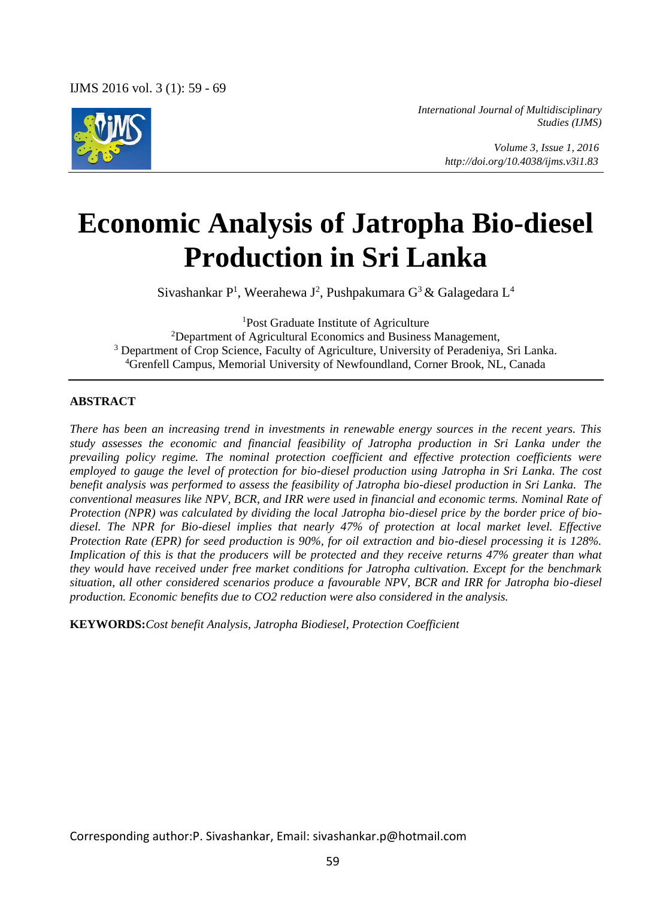

*International Journal of Multidisciplinary Studies (IJMS)* 

> *Volume 3, Issue 1, 2016 http://doi.org/10.4038/ijms.v3i1.83*

# **Economic Analysis of Jatropha Bio-diesel Production in Sri Lanka**

Sivashankar P<sup>1</sup>, Weerahewa J<sup>2</sup>, Pushpakumara G<sup>3</sup> & Galagedara L<sup>4</sup>

<sup>1</sup>Post Graduate Institute of Agriculture

<sup>2</sup>Department of Agricultural Economics and Business Management, <sup>3</sup> Department of Crop Science, Faculty of Agriculture, University of Peradeniya, Sri Lanka. <sup>4</sup>Grenfell Campus, Memorial University of Newfoundland, Corner Brook, NL, Canada

#### **ABSTRACT**

*There has been an increasing trend in investments in renewable energy sources in the recent years. This study assesses the economic and financial feasibility of Jatropha production in Sri Lanka under the prevailing policy regime. The nominal protection coefficient and effective protection coefficients were employed to gauge the level of protection for bio-diesel production using Jatropha in Sri Lanka. The cost benefit analysis was performed to assess the feasibility of Jatropha bio-diesel production in Sri Lanka. The conventional measures like NPV, BCR, and IRR were used in financial and economic terms. Nominal Rate of Protection (NPR) was calculated by dividing the local Jatropha bio-diesel price by the border price of biodiesel. The NPR for Bio-diesel implies that nearly 47% of protection at local market level. Effective Protection Rate (EPR) for seed production is 90%, for oil extraction and bio-diesel processing it is 128%. Implication of this is that the producers will be protected and they receive returns 47% greater than what they would have received under free market conditions for Jatropha cultivation. Except for the benchmark situation, all other considered scenarios produce a favourable NPV, BCR and IRR for Jatropha bio-diesel production. Economic benefits due to CO2 reduction were also considered in the analysis.* 

**KEYWORDS:***Cost benefit Analysis, Jatropha Biodiesel, Protection Coefficient*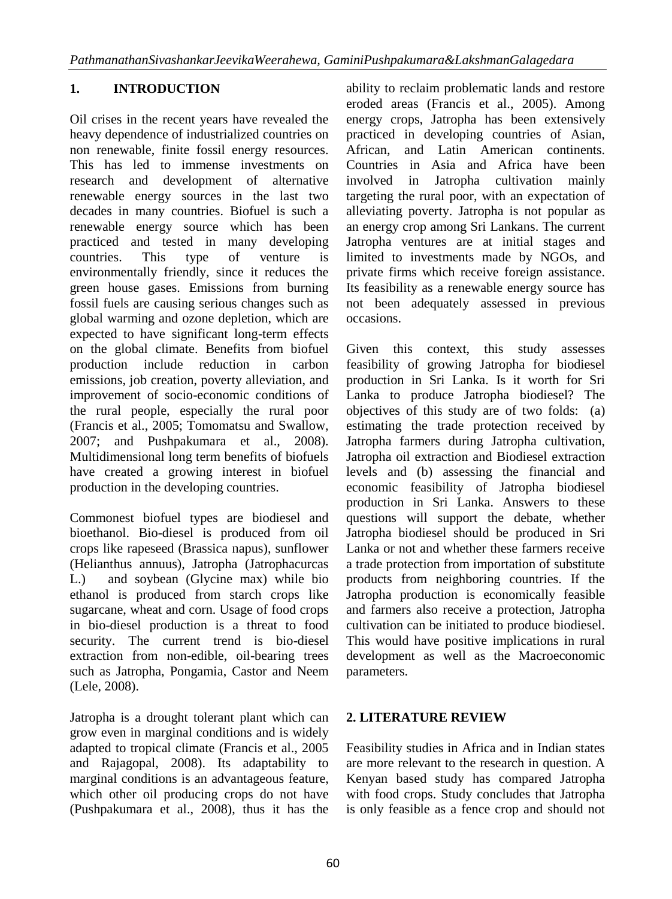## **1. INTRODUCTION**

Oil crises in the recent years have revealed the heavy dependence of industrialized countries on non renewable, finite fossil energy resources. This has led to immense investments on research and development of alternative renewable energy sources in the last two decades in many countries. Biofuel is such a renewable energy source which has been practiced and tested in many developing countries. This type of venture is environmentally friendly, since it reduces the green house gases. Emissions from burning fossil fuels are causing serious changes such as global warming and ozone depletion, which are expected to have significant long-term effects on the global climate. Benefits from biofuel production include reduction in carbon emissions, job creation, poverty alleviation, and improvement of socio-economic conditions of the rural people, especially the rural poor (Francis et al., 2005; Tomomatsu and Swallow, 2007; and Pushpakumara et al., 2008). Multidimensional long term benefits of biofuels have created a growing interest in biofuel production in the developing countries.

Commonest biofuel types are biodiesel and bioethanol. Bio-diesel is produced from oil crops like rapeseed (Brassica napus), sunflower (Helianthus annuus), Jatropha (Jatrophacurcas L.) and soybean (Glycine max) while bio ethanol is produced from starch crops like sugarcane, wheat and corn. Usage of food crops in bio-diesel production is a threat to food security. The current trend is bio-diesel extraction from non-edible, oil-bearing trees such as Jatropha, Pongamia, Castor and Neem (Lele, 2008).

Jatropha is a drought tolerant plant which can grow even in marginal conditions and is widely adapted to tropical climate (Francis et al., 2005 and Rajagopal, 2008). Its adaptability to marginal conditions is an advantageous feature, which other oil producing crops do not have (Pushpakumara et al., 2008), thus it has the

ability to reclaim problematic lands and restore eroded areas (Francis et al., 2005). Among energy crops, Jatropha has been extensively practiced in developing countries of Asian, African, and Latin American continents. Countries in Asia and Africa have been involved in Jatropha cultivation mainly targeting the rural poor, with an expectation of alleviating poverty. Jatropha is not popular as an energy crop among Sri Lankans. The current Jatropha ventures are at initial stages and limited to investments made by NGOs, and private firms which receive foreign assistance. Its feasibility as a renewable energy source has not been adequately assessed in previous occasions.

Given this context, this study assesses feasibility of growing Jatropha for biodiesel production in Sri Lanka. Is it worth for Sri Lanka to produce Jatropha biodiesel? The objectives of this study are of two folds: (a) estimating the trade protection received by Jatropha farmers during Jatropha cultivation, Jatropha oil extraction and Biodiesel extraction levels and (b) assessing the financial and economic feasibility of Jatropha biodiesel production in Sri Lanka. Answers to these questions will support the debate, whether Jatropha biodiesel should be produced in Sri Lanka or not and whether these farmers receive a trade protection from importation of substitute products from neighboring countries. If the Jatropha production is economically feasible and farmers also receive a protection, Jatropha cultivation can be initiated to produce biodiesel. This would have positive implications in rural development as well as the Macroeconomic parameters.

## **2. LITERATURE REVIEW**

Feasibility studies in Africa and in Indian states are more relevant to the research in question. A Kenyan based study has compared Jatropha with food crops. Study concludes that Jatropha is only feasible as a fence crop and should not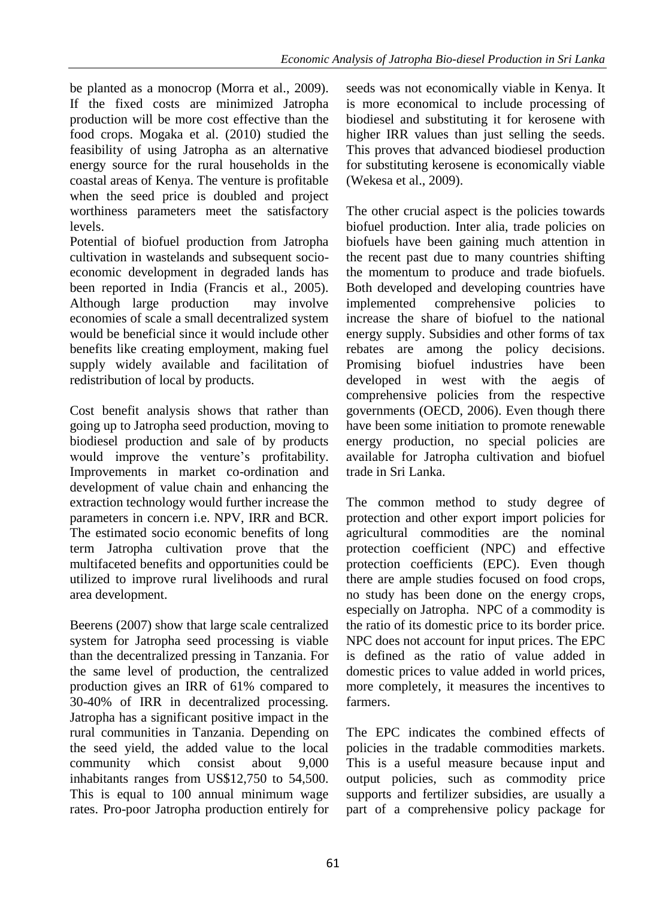be planted as a monocrop (Morra et al., 2009). If the fixed costs are minimized Jatropha production will be more cost effective than the food crops. Mogaka et al. (2010) studied the feasibility of using Jatropha as an alternative energy source for the rural households in the coastal areas of Kenya. The venture is profitable when the seed price is doubled and project worthiness parameters meet the satisfactory levels.

Potential of biofuel production from Jatropha cultivation in wastelands and subsequent socioeconomic development in degraded lands has been reported in India (Francis et al., 2005). Although large production may involve economies of scale a small decentralized system would be beneficial since it would include other benefits like creating employment, making fuel supply widely available and facilitation of redistribution of local by products.

Cost benefit analysis shows that rather than going up to Jatropha seed production, moving to biodiesel production and sale of by products would improve the venture's profitability. Improvements in market co-ordination and development of value chain and enhancing the extraction technology would further increase the parameters in concern i.e. NPV, IRR and BCR. The estimated socio economic benefits of long term Jatropha cultivation prove that the multifaceted benefits and opportunities could be utilized to improve rural livelihoods and rural area development.

Beerens (2007) show that large scale centralized system for Jatropha seed processing is viable than the decentralized pressing in Tanzania. For the same level of production, the centralized production gives an IRR of 61% compared to 30-40% of IRR in decentralized processing. Jatropha has a significant positive impact in the rural communities in Tanzania. Depending on the seed yield, the added value to the local community which consist about 9,000 inhabitants ranges from US\$12,750 to 54,500. This is equal to 100 annual minimum wage rates. Pro-poor Jatropha production entirely for

seeds was not economically viable in Kenya. It is more economical to include processing of biodiesel and substituting it for kerosene with higher IRR values than just selling the seeds. This proves that advanced biodiesel production for substituting kerosene is economically viable (Wekesa et al., 2009).

The other crucial aspect is the policies towards biofuel production. Inter alia, trade policies on biofuels have been gaining much attention in the recent past due to many countries shifting the momentum to produce and trade biofuels. Both developed and developing countries have implemented comprehensive policies increase the share of biofuel to the national energy supply. Subsidies and other forms of tax rebates are among the policy decisions. Promising biofuel industries have been developed in west with the aegis of comprehensive policies from the respective governments (OECD, 2006). Even though there have been some initiation to promote renewable energy production, no special policies are available for Jatropha cultivation and biofuel trade in Sri Lanka.

The common method to study degree of protection and other export import policies for agricultural commodities are the nominal protection coefficient (NPC) and effective protection coefficients (EPC). Even though there are ample studies focused on food crops, no study has been done on the energy crops, especially on Jatropha. NPC of a commodity is the ratio of its domestic price to its border price. NPC does not account for input prices. The EPC is defined as the ratio of value added in domestic prices to value added in world prices, more completely, it measures the incentives to farmers.

The EPC indicates the combined effects of policies in the tradable commodities markets. This is a useful measure because input and output policies, such as commodity price supports and fertilizer subsidies, are usually a part of a comprehensive policy package for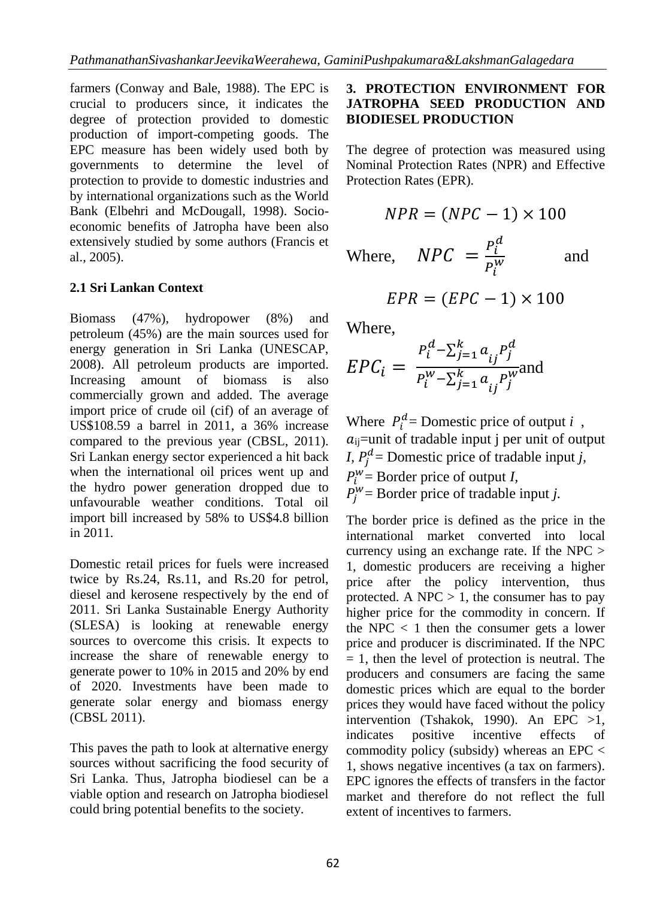farmers (Conway and Bale, 1988). The EPC is crucial to producers since, it indicates the degree of protection provided to domestic production of import-competing goods. The EPC measure has been widely used both by governments to determine the level of protection to provide to domestic industries and by international organizations such as the World Bank (Elbehri and McDougall, 1998). Socioeconomic benefits of Jatropha have been also extensively studied by some authors (Francis et al., 2005).

## **2.1 Sri Lankan Context**

Biomass (47%), hydropower (8%) and petroleum (45%) are the main sources used for energy generation in Sri Lanka (UNESCAP, 2008). All petroleum products are imported. Increasing amount of biomass is also commercially grown and added. The average import price of crude oil (cif) of an average of US\$108.59 a barrel in 2011, a 36% increase compared to the previous year (CBSL, 2011). Sri Lankan energy sector experienced a hit back when the international oil prices went up and the hydro power generation dropped due to unfavourable weather conditions. Total oil import bill increased by 58% to US\$4.8 billion in 2011.

Domestic retail prices for fuels were increased twice by Rs.24, Rs.11, and Rs.20 for petrol, diesel and kerosene respectively by the end of 2011. Sri Lanka Sustainable Energy Authority (SLESA) is looking at renewable energy sources to overcome this crisis. It expects to increase the share of renewable energy to generate power to 10% in 2015 and 20% by end of 2020. Investments have been made to generate solar energy and biomass energy (CBSL 2011).

This paves the path to look at alternative energy sources without sacrificing the food security of Sri Lanka. Thus, Jatropha biodiesel can be a viable option and research on Jatropha biodiesel could bring potential benefits to the society.

## **3. PROTECTION ENVIRONMENT FOR JATROPHA SEED PRODUCTION AND BIODIESEL PRODUCTION**

The degree of protection was measured using Nominal Protection Rates (NPR) and Effective Protection Rates (EPR).

$$
NPR = (NPC - 1) \times 100
$$
  
Where, 
$$
NPC = \frac{P_i^d}{P_i^w}
$$
 and

$$
EPR = (EPC - 1) \times 100
$$

Where,

$$
EPC_i = \frac{P_i^d - \sum_{j=1}^k a_{ij} P_j^d}{P_i^w - \sum_{j=1}^k a_{ij} P_j^w}
$$

Where  $P_i^d$  = Domestic price of output *i*,  $a_{ij}$ =unit of tradable input j per unit of output *I,*  $P_j^d$  = Domestic price of tradable input *j*,  $P_l^W$  = Border price of output *I*,  $P_j^W$  = Border price of tradable input *j*.

The border price is defined as the price in the international market converted into local currency using an exchange rate. If the NPC > 1, domestic producers are receiving a higher price after the policy intervention, thus protected. A NPC  $> 1$ , the consumer has to pay higher price for the commodity in concern. If the NPC  $\langle 1 \rangle$  then the consumer gets a lower price and producer is discriminated. If the NPC  $= 1$ , then the level of protection is neutral. The producers and consumers are facing the same domestic prices which are equal to the border prices they would have faced without the policy intervention (Tshakok, 1990). An EPC >1, indicates positive incentive effects of commodity policy (subsidy) whereas an EPC < 1, shows negative incentives (a tax on farmers). EPC ignores the effects of transfers in the factor market and therefore do not reflect the full extent of incentives to farmers.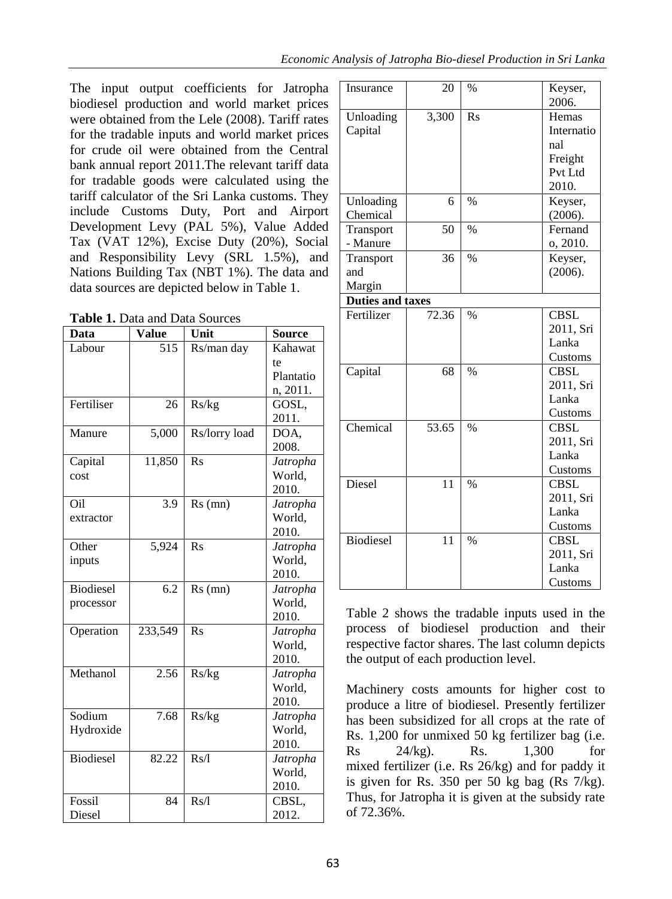The input output coefficients for Jatropha biodiesel production and world market prices were obtained from the Lele (2008). Tariff rates for the tradable inputs and world market prices for crude oil were obtained from the Central bank annual report 2011.The relevant tariff data for tradable goods were calculated using the tariff calculator of the Sri Lanka customs. They include Customs Duty, Port and Airport Development Levy (PAL 5%), Value Added Tax (VAT 12%), Excise Duty (20%), Social and Responsibility Levy (SRL 1.5%), and Nations Building Tax (NBT 1%). The data and data sources are depicted below in Table 1.

**Table 1.** Data and Data Sources

| Data             | <b>Value</b>     | Unit           | <b>Source</b> |
|------------------|------------------|----------------|---------------|
| Labour           | 515              | Rs/man day     | Kahawat       |
|                  |                  |                | te            |
|                  |                  |                | Plantatio     |
|                  |                  |                | n, 2011.      |
| Fertiliser       | 26               | Rs/kg          | GOSL,         |
|                  |                  |                | 2011.         |
| Manure           | 5,000            | Rs/lorry load  | DOA,          |
|                  |                  |                | 2008.         |
| Capital          | 11,850           | R <sub>S</sub> | Jatropha      |
| cost             |                  |                | World,        |
|                  |                  |                | 2010.         |
| Oil              | 3.9              | $Rs$ (mn)      | Jatropha      |
| extractor        |                  |                | World,        |
|                  |                  |                | 2010.         |
| Other            | 5,924            | R <sub>S</sub> | Jatropha      |
| inputs           |                  |                | World,        |
|                  |                  |                | 2010.         |
| <b>Biodiesel</b> | $\overline{6.2}$ | $Rs$ (mn)      | Jatropha      |
| processor        |                  |                | World,        |
|                  |                  |                | 2010.         |
| Operation        | 233,549          | Rs             | Jatropha      |
|                  |                  |                | World,        |
|                  |                  |                | 2010.         |
| Methanol         | 2.56             | Rs/kg          | Jatropha      |
|                  |                  |                | World,        |
|                  |                  |                | 2010.         |
| Sodium           | 7.68             | Rs/kg          | Jatropha      |
| Hydroxide        |                  |                | World,        |
|                  |                  |                | 2010.         |
| <b>Biodiesel</b> | 82.22            | Rs/1           | Jatropha      |
|                  |                  |                | World,        |
|                  |                  |                | 2010.         |
| Fossil           | 84               | Rs/1           | CBSL,         |
| Diesel           |                  |                | 2012.         |

| Insurance        | 20    | $\%$          | Keyser,     |
|------------------|-------|---------------|-------------|
|                  |       |               | 2006.       |
| Unloading        | 3,300 | $\rm Rs$      | Hemas       |
| Capital          |       |               | Internatio  |
|                  |       |               | nal         |
|                  |       |               | Freight     |
|                  |       |               | Pvt Ltd     |
|                  |       |               | 2010.       |
| Unloading        | 6     | $\frac{0}{0}$ | Keyser,     |
| Chemical         |       |               | (2006).     |
| Transport        | 50    | $\frac{0}{0}$ | Fernand     |
| - Manure         |       |               | o, 2010.    |
| Transport        | 36    | $\%$          | Keyser,     |
| and              |       |               | (2006).     |
| Margin           |       |               |             |
| Duties and taxes |       |               |             |
| Fertilizer       | 72.36 | $\%$          | <b>CBSL</b> |
|                  |       |               | 2011, Sri   |
|                  |       |               | Lanka       |
|                  |       |               | Customs     |
| Capital          | 68    | $\frac{0}{0}$ | <b>CBSL</b> |
|                  |       |               | 2011, Sri   |
|                  |       |               | Lanka       |
|                  |       |               | Customs     |
| Chemical         | 53.65 | $\frac{0}{0}$ | CBSL        |
|                  |       |               | 2011, Sri   |
|                  |       |               | Lanka       |
|                  |       |               | Customs     |
| Diesel           | 11    | $\frac{0}{0}$ | <b>CBSL</b> |
|                  |       |               | 2011, Sri   |
|                  |       |               | Lanka       |
|                  |       |               | Customs     |
| <b>Biodiesel</b> | 11    | $\frac{0}{0}$ | <b>CBSL</b> |
|                  |       |               | 2011, Sri   |
|                  |       |               | Lanka       |
|                  |       |               | Customs     |

Table 2 shows the tradable inputs used in the process of biodiesel production and their respective factor shares. The last column depicts the output of each production level.

Machinery costs amounts for higher cost to produce a litre of biodiesel. Presently fertilizer has been subsidized for all crops at the rate of Rs. 1,200 for unmixed 50 kg fertilizer bag (i.e. Rs 24/kg). Rs. 1,300 for mixed fertilizer (i.e. Rs 26/kg) and for paddy it is given for Rs. 350 per 50 kg bag (Rs 7/kg). Thus, for Jatropha it is given at the subsidy rate of 72.36%.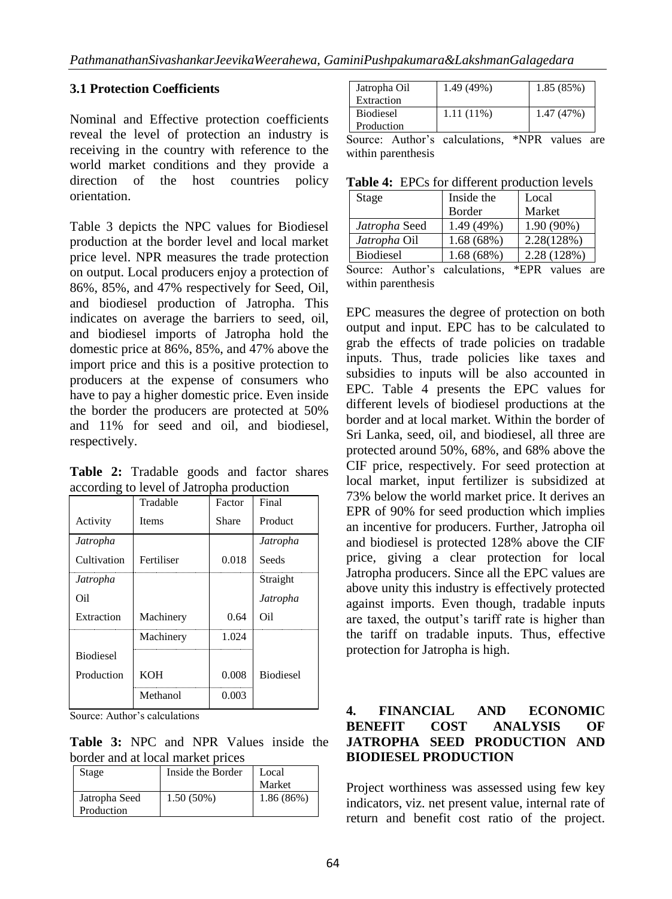#### **3.1 Protection Coefficients**

Nominal and Effective protection coefficients reveal the level of protection an industry is receiving in the country with reference to the world market conditions and they provide a direction of the host countries policy orientation.

Table 3 depicts the NPC values for Biodiesel production at the border level and local market price level. NPR measures the trade protection on output. Local producers enjoy a protection of 86%, 85%, and 47% respectively for Seed, Oil, and biodiesel production of Jatropha. This indicates on average the barriers to seed, oil, and biodiesel imports of Jatropha hold the domestic price at 86%, 85%, and 47% above the import price and this is a positive protection to producers at the expense of consumers who have to pay a higher domestic price. Even inside the border the producers are protected at 50% and 11% for seed and oil, and biodiesel, respectively.

**Table 2:** Tradable goods and factor shares according to level of Jatropha production

|                  | Tradable     | Factor | Final            |
|------------------|--------------|--------|------------------|
| Activity         | <b>Items</b> | Share  | Product          |
| Jatropha         |              |        | Jatropha         |
| Cultivation      | Fertiliser   | 0.018  | Seeds            |
| Jatropha         |              |        | Straight         |
| Oil              |              |        | Jatropha         |
| Extraction       | Machinery    | 0.64   | Oil              |
|                  | Machinery    | 1.024  |                  |
| <b>Biodiesel</b> |              |        |                  |
| Production       | <b>KOH</b>   | 0.008  | <b>Biodiesel</b> |
|                  | Methanol     | 0.003  |                  |

Source: Author's calculations

**Table 3:** NPC and NPR Values inside the border and at local market prices

| Stage                       | Inside the Border | Local<br>Market |
|-----------------------------|-------------------|-----------------|
| Jatropha Seed<br>Production | $1.50(50\%)$      | 1.86(86%)       |

| Jatropha Oil<br>Extraction     | 1.49 (49%)   | 1.85 (85%) |
|--------------------------------|--------------|------------|
| <b>Biodiesel</b><br>Production | $1.11(11\%)$ | 1.47 (47%) |

Source: Author's calculations, \*NPR values are within parenthesis

**Table 4:** EPCs for different production levels

| Stage            | Inside the | Local       |  |
|------------------|------------|-------------|--|
|                  | Border     | Market      |  |
| Jatropha Seed    | 1.49 (49%) | 1.90 (90%)  |  |
| Jatropha Oil     | 1.68(68%)  | 2.28(128%)  |  |
| <b>Biodiesel</b> | 1.68 (68%) | 2.28 (128%) |  |
| .<br>$\sim$      | . .        |             |  |

Source: Author's calculations, \*EPR values are within parenthesis

EPC measures the degree of protection on both output and input. EPC has to be calculated to grab the effects of trade policies on tradable inputs. Thus, trade policies like taxes and subsidies to inputs will be also accounted in EPC. Table 4 presents the EPC values for different levels of biodiesel productions at the border and at local market. Within the border of Sri Lanka, seed, oil, and biodiesel, all three are protected around 50%, 68%, and 68% above the CIF price, respectively. For seed protection at local market, input fertilizer is subsidized at 73% below the world market price. It derives an EPR of 90% for seed production which implies an incentive for producers. Further, Jatropha oil and biodiesel is protected 128% above the CIF price, giving a clear protection for local Jatropha producers. Since all the EPC values are above unity this industry is effectively protected against imports. Even though, tradable inputs are taxed, the output's tariff rate is higher than the tariff on tradable inputs. Thus, effective protection for Jatropha is high.

#### **4. FINANCIAL AND ECONOMIC BENEFIT COST ANALYSIS OF JATROPHA SEED PRODUCTION AND BIODIESEL PRODUCTION**

Project worthiness was assessed using few key indicators, viz. net present value, internal rate of return and benefit cost ratio of the project.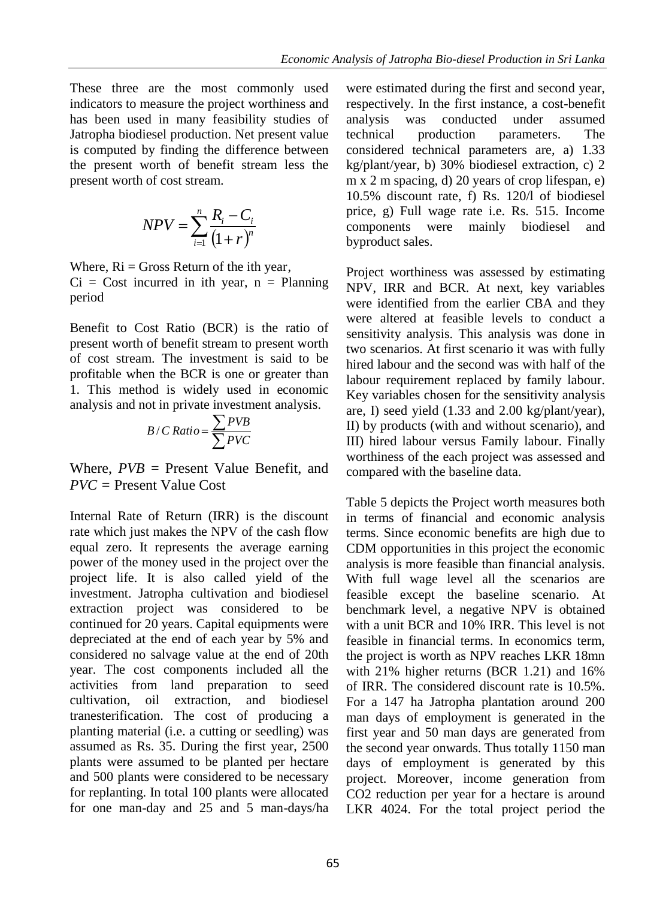These three are the most commonly used indicators to measure the project worthiness and has been used in many feasibility studies of Jatropha biodiesel production. Net present value is computed by finding the difference between the present worth of benefit stream less the present worth of cost stream.

$$
NPV = \sum_{i=1}^{n} \frac{R_i - C_i}{(1+r)^n}
$$

Where,  $\text{Ri} = \text{Gross Return of the ith year}$ ,

 $Ci = Cost$  incurred in ith year,  $n = Planning$ period

Benefit to Cost Ratio (BCR) is the ratio of present worth of benefit stream to present worth of cost stream. The investment is said to be profitable when the BCR is one or greater than 1. This method is widely used in economic analysis and not in private investment analysis.

$$
B/CRatio = \frac{\sum PVB}{\sum PVC}
$$

Where, *PVB* = Present Value Benefit, and *PVC =* Present Value Cost

Internal Rate of Return (IRR) is the discount rate which just makes the NPV of the cash flow equal zero. It represents the average earning power of the money used in the project over the project life. It is also called yield of the investment. Jatropha cultivation and biodiesel extraction project was considered to be continued for 20 years. Capital equipments were depreciated at the end of each year by 5% and considered no salvage value at the end of 20th year. The cost components included all the activities from land preparation to seed cultivation, oil extraction, and biodiesel tranesterification. The cost of producing a planting material (i.e. a cutting or seedling) was assumed as Rs. 35. During the first year, 2500 plants were assumed to be planted per hectare and 500 plants were considered to be necessary for replanting. In total 100 plants were allocated for one man-day and 25 and 5 man-days/ha

were estimated during the first and second year, respectively. In the first instance, a cost-benefit analysis was conducted under assumed technical production parameters. The considered technical parameters are, a) 1.33 kg/plant/year, b) 30% biodiesel extraction, c) 2 m x 2 m spacing, d) 20 years of crop lifespan, e) 10.5% discount rate, f) Rs. 120/l of biodiesel price, g) Full wage rate i.e. Rs. 515. Income components were mainly biodiesel and byproduct sales.

Project worthiness was assessed by estimating NPV, IRR and BCR. At next, key variables were identified from the earlier CBA and they were altered at feasible levels to conduct a sensitivity analysis. This analysis was done in two scenarios. At first scenario it was with fully hired labour and the second was with half of the labour requirement replaced by family labour. Key variables chosen for the sensitivity analysis are, I) seed yield (1.33 and 2.00 kg/plant/year), II) by products (with and without scenario), and III) hired labour versus Family labour. Finally worthiness of the each project was assessed and compared with the baseline data.

Table 5 depicts the Project worth measures both in terms of financial and economic analysis terms. Since economic benefits are high due to CDM opportunities in this project the economic analysis is more feasible than financial analysis. With full wage level all the scenarios are feasible except the baseline scenario. At benchmark level, a negative NPV is obtained with a unit BCR and 10% IRR. This level is not feasible in financial terms. In economics term, the project is worth as NPV reaches LKR 18mn with 21% higher returns (BCR 1.21) and 16% of IRR. The considered discount rate is 10.5%. For a 147 ha Jatropha plantation around 200 man days of employment is generated in the first year and 50 man days are generated from the second year onwards. Thus totally 1150 man days of employment is generated by this project. Moreover, income generation from CO2 reduction per year for a hectare is around LKR 4024. For the total project period the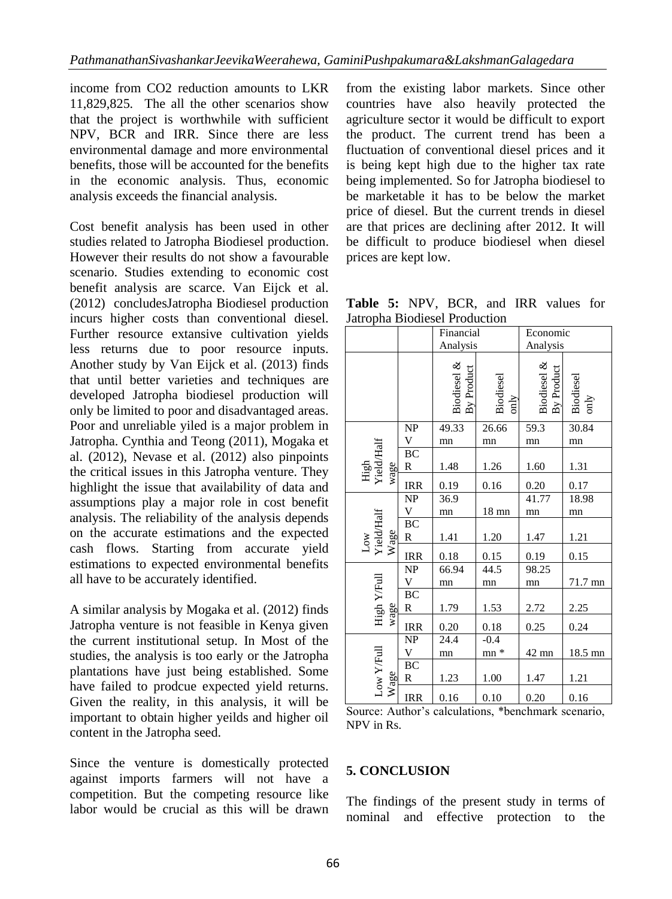income from CO2 reduction amounts to LKR 11,829,825. The all the other scenarios show that the project is worthwhile with sufficient NPV, BCR and IRR. Since there are less environmental damage and more environmental benefits, those will be accounted for the benefits in the economic analysis. Thus, economic analysis exceeds the financial analysis.

Cost benefit analysis has been used in other studies related to Jatropha Biodiesel production. However their results do not show a favourable scenario. Studies extending to economic cost benefit analysis are scarce. Van Eijck et al. (2012) concludesJatropha Biodiesel production incurs higher costs than conventional diesel. Further resource extansive cultivation yields less returns due to poor resource inputs. Another study by Van Eijck et al. (2013) finds that until better varieties and techniques are developed Jatropha biodiesel production will only be limited to poor and disadvantaged areas. Poor and unreliable yiled is a major problem in Jatropha. Cynthia and Teong (2011), Mogaka et al. (2012), Nevase et al. (2012) also pinpoints the critical issues in this Jatropha venture. They highlight the issue that availability of data and assumptions play a major role in cost benefit analysis. The reliability of the analysis depends on the accurate estimations and the expected cash flows. Starting from accurate yield estimations to expected environmental benefits all have to be accurately identified.

A similar analysis by Mogaka et al. (2012) finds Jatropha venture is not feasible in Kenya given the current institutional setup. In Most of the studies, the analysis is too early or the Jatropha plantations have just being established. Some have failed to prodcue expected yield returns. Given the reality, in this analysis, it will be important to obtain higher yeilds and higher oil content in the Jatropha seed.

Since the venture is domestically protected against imports farmers will not have a competition. But the competing resource like labor would be crucial as this will be drawn from the existing labor markets. Since other countries have also heavily protected the agriculture sector it would be difficult to export the product. The current trend has been a fluctuation of conventional diesel prices and it is being kept high due to the higher tax rate being implemented. So for Jatropha biodiesel to be marketable it has to be below the market price of diesel. But the current trends in diesel are that prices are declining after 2012. It will be difficult to produce biodiesel when diesel prices are kept low.

**Table 5:** NPV, BCR, and IRR values for Jatropha Biodiesel Production

|                            |                                   | Financial<br>Analysis     |                   | Economic<br>Analysis      |                            |
|----------------------------|-----------------------------------|---------------------------|-------------------|---------------------------|----------------------------|
|                            |                                   | Biodiesel &<br>By Product | Biodiesel<br>only | Biodiesel &<br>By Product | Biodiesel<br>$\text{only}$ |
|                            | $\ensuremath{\mathbf{NP}}\xspace$ | 49.33                     | 26.66             | 59.3                      | 30.84                      |
|                            | V                                 | mn                        | mn                | mn                        | mn                         |
| High<br>Yield/Half<br>wage | $B\overline{C}$<br>R              | 1.48                      | 1.26              | 1.60                      | 1.31                       |
|                            | <b>IRR</b>                        | 0.19                      | 0.16              | 0.20                      | 0.17                       |
|                            | NP                                | 36.9                      |                   | 41.77                     | 18.98                      |
|                            | V                                 | mn                        | $18 \text{ mm}$   | mn                        | mn                         |
| Low<br>Yield/Half<br>Wage  | BC<br>$\mathbb{R}$                | 1.41                      | 1.20              | 1.47                      | 1.21                       |
|                            | <b>IRR</b>                        | 0.18                      | 0.15              | 0.19                      | 0.15                       |
|                            | NP                                | 66.94                     | 44.5              | 98.25                     |                            |
|                            | V                                 | mn                        | mn                | mn                        | 71.7 mn                    |
| High Y/Full<br>wage        | $B\overline{C}$<br>$\mathbb{R}$   | 1.79                      | 1.53              | 2.72                      | 2.25                       |
|                            | <b>IRR</b>                        | 0.20                      | 0.18              | 0.25                      | 0.24                       |
| Low Y/Full<br>Wage         | NP                                | 24.4                      | $-0.4$            |                           |                            |
|                            | V                                 | mn                        | $mn *$            | 42 mn                     | 18.5 mn                    |
|                            | $\rm BC$<br>R                     | 1.23                      | 1.00              | 1.47                      | 1.21                       |
|                            | <b>IRR</b>                        | 0.16                      | 0.10              | 0.20                      | 0.16                       |

Source: Author's calculations, \*benchmark scenario, NPV in Rs.

## **5. CONCLUSION**

The findings of the present study in terms of nominal and effective protection to the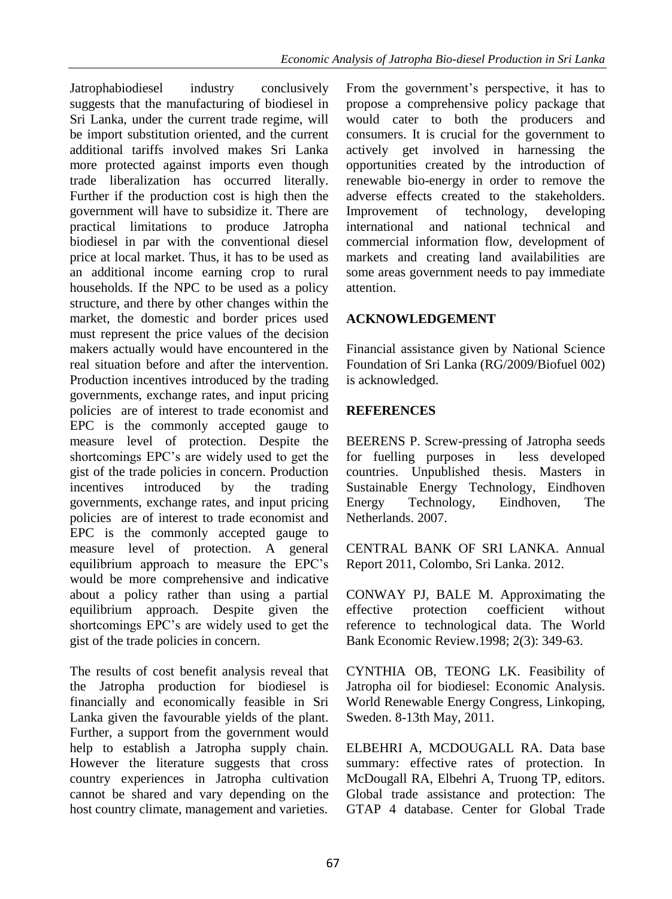Jatrophabiodiesel industry conclusively suggests that the manufacturing of biodiesel in Sri Lanka, under the current trade regime, will be import substitution oriented, and the current additional tariffs involved makes Sri Lanka more protected against imports even though trade liberalization has occurred literally. Further if the production cost is high then the government will have to subsidize it. There are practical limitations to produce Jatropha biodiesel in par with the conventional diesel price at local market. Thus, it has to be used as an additional income earning crop to rural households. If the NPC to be used as a policy structure, and there by other changes within the market, the domestic and border prices used must represent the price values of the decision makers actually would have encountered in the real situation before and after the intervention. Production incentives introduced by the trading governments, exchange rates, and input pricing policies are of interest to trade economist and EPC is the commonly accepted gauge to measure level of protection. Despite the shortcomings EPC's are widely used to get the gist of the trade policies in concern. Production incentives introduced by the trading governments, exchange rates, and input pricing policies are of interest to trade economist and EPC is the commonly accepted gauge to measure level of protection. A general equilibrium approach to measure the EPC's would be more comprehensive and indicative about a policy rather than using a partial equilibrium approach. Despite given the shortcomings EPC's are widely used to get the gist of the trade policies in concern.

The results of cost benefit analysis reveal that the Jatropha production for biodiesel is financially and economically feasible in Sri Lanka given the favourable yields of the plant. Further, a support from the government would help to establish a Jatropha supply chain. However the literature suggests that cross country experiences in Jatropha cultivation cannot be shared and vary depending on the host country climate, management and varieties.

From the government's perspective, it has to propose a comprehensive policy package that would cater to both the producers and consumers. It is crucial for the government to actively get involved in harnessing the opportunities created by the introduction of renewable bio-energy in order to remove the adverse effects created to the stakeholders. Improvement of technology, developing international and national technical and commercial information flow, development of markets and creating land availabilities are some areas government needs to pay immediate attention.

## **ACKNOWLEDGEMENT**

Financial assistance given by National Science Foundation of Sri Lanka (RG/2009/Biofuel 002) is acknowledged.

## **REFERENCES**

BEERENS P. Screw-pressing of Jatropha seeds for fuelling purposes in less developed countries. Unpublished thesis. Masters in Sustainable Energy Technology, Eindhoven Energy Technology, Eindhoven, The Netherlands. 2007.

CENTRAL BANK OF SRI LANKA. Annual Report 2011, Colombo, Sri Lanka. 2012.

CONWAY PJ, BALE M. Approximating the effective protection coefficient without reference to technological data. The World Bank Economic Review.1998; 2(3): 349-63.

CYNTHIA OB, TEONG LK. Feasibility of Jatropha oil for biodiesel: Economic Analysis. World Renewable Energy Congress, Linkoping, Sweden. 8-13th May, 2011.

ELBEHRI A, MCDOUGALL RA. Data base summary: effective rates of protection. In McDougall RA, Elbehri A, Truong TP, editors. Global trade assistance and protection: The GTAP 4 database. Center for Global Trade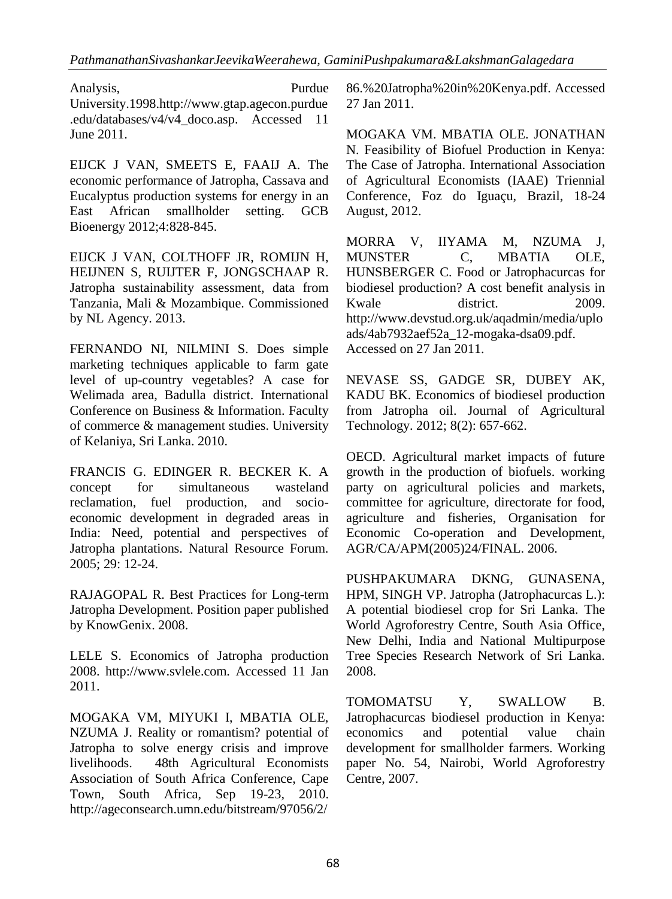Analysis, Purdue University.1998.http://www.gtap.agecon.purdue .edu/databases/v4/v4\_doco.asp. Accessed 11 June 2011.

EIJCK J VAN, SMEETS E, FAAIJ A. The economic performance of Jatropha, Cassava and Eucalyptus production systems for energy in an East African smallholder setting. GCB Bioenergy 2012;4:828-845.

EIJCK J VAN, COLTHOFF JR, ROMIJN H, HEIJNEN S, RUIJTER F, JONGSCHAAP R. Jatropha sustainability assessment, data from Tanzania, Mali & Mozambique. Commissioned by NL Agency. 2013.

FERNANDO NI, NILMINI S. Does simple marketing techniques applicable to farm gate level of up-country vegetables? A case for Welimada area, Badulla district. International Conference on Business & Information. Faculty of commerce & management studies. University of Kelaniya, Sri Lanka. 2010.

FRANCIS G. EDINGER R. BECKER K. A concept for simultaneous wasteland reclamation, fuel production, and socioeconomic development in degraded areas in India: Need, potential and perspectives of Jatropha plantations. Natural Resource Forum. 2005; 29: 12-24.

RAJAGOPAL R. Best Practices for Long-term Jatropha Development. Position paper published by KnowGenix. 2008.

LELE S. Economics of Jatropha production 2008. http://www.svlele.com. Accessed 11 Jan 2011.

MOGAKA VM, MIYUKI I, MBATIA OLE, NZUMA J. Reality or romantism? potential of Jatropha to solve energy crisis and improve livelihoods. 48th Agricultural Economists Association of South Africa Conference, Cape Town, South Africa, Sep 19-23, 2010. http://ageconsearch.umn.edu/bitstream/97056/2/

86.%20Jatropha%20in%20Kenya.pdf. Accessed 27 Jan 2011.

MOGAKA VM. MBATIA OLE. JONATHAN N. Feasibility of Biofuel Production in Kenya: The Case of Jatropha. International Association of Agricultural Economists (IAAE) Triennial Conference, Foz do Iguaçu, Brazil, 18-24 August, 2012.

MORRA V, IIYAMA M, NZUMA J, MUNSTER C, MBATIA OLE, HUNSBERGER C. Food or Jatrophacurcas for biodiesel production? A cost benefit analysis in Kwale district. 2009. http://www.devstud.org.uk/aqadmin/media/uplo ads/4ab7932aef52a\_12-mogaka-dsa09.pdf. Accessed on 27 Jan 2011.

NEVASE SS, GADGE SR, DUBEY AK, KADU BK. Economics of biodiesel production from Jatropha oil. Journal of Agricultural Technology. 2012; 8(2): 657-662.

OECD. Agricultural market impacts of future growth in the production of biofuels. working party on agricultural policies and markets, committee for agriculture, directorate for food, agriculture and fisheries, Organisation for Economic Co-operation and Development, AGR/CA/APM(2005)24/FINAL. 2006.

PUSHPAKUMARA DKNG, GUNASENA, HPM, SINGH VP. Jatropha (Jatrophacurcas L.): A potential biodiesel crop for Sri Lanka. The World Agroforestry Centre, South Asia Office, New Delhi, India and National Multipurpose Tree Species Research Network of Sri Lanka. 2008.

TOMOMATSU Y, SWALLOW B. Jatrophacurcas biodiesel production in Kenya: economics and potential value chain development for smallholder farmers. Working paper No. 54, Nairobi, World Agroforestry Centre, 2007.